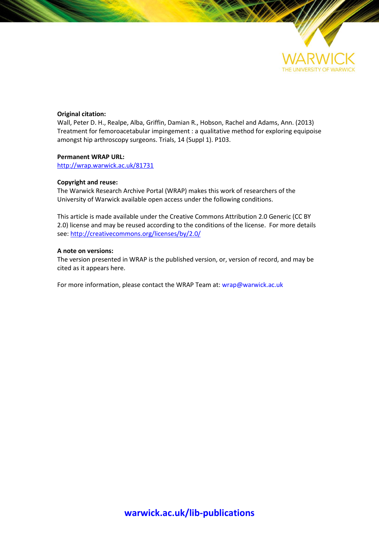

### **Original citation:**

Wall, Peter D. H., Realpe, Alba, Griffin, Damian R., Hobson, Rachel and Adams, Ann. (2013) Treatment for femoroacetabular impingement : a qualitative method for exploring equipoise amongst hip arthroscopy surgeons. Trials, 14 (Suppl 1). P103.

#### **Permanent WRAP URL:**

<http://wrap.warwick.ac.uk/81731>

#### **Copyright and reuse:**

The Warwick Research Archive Portal (WRAP) makes this work of researchers of the University of Warwick available open access under the following conditions.

This article is made available under the Creative Commons Attribution 2.0 Generic (CC BY 2.0) license and may be reused according to the conditions of the license. For more details see[: http://creativecommons.org/licenses/by/2.0/](http://creativecommons.org/licenses/by/2.0/)

### **A note on versions:**

The version presented in WRAP is the published version, or, version of record, and may be cited as it appears here.

For more information, please contact the WRAP Team at[: wrap@warwick.ac.uk](mailto:wrap@warwick.ac.uk)